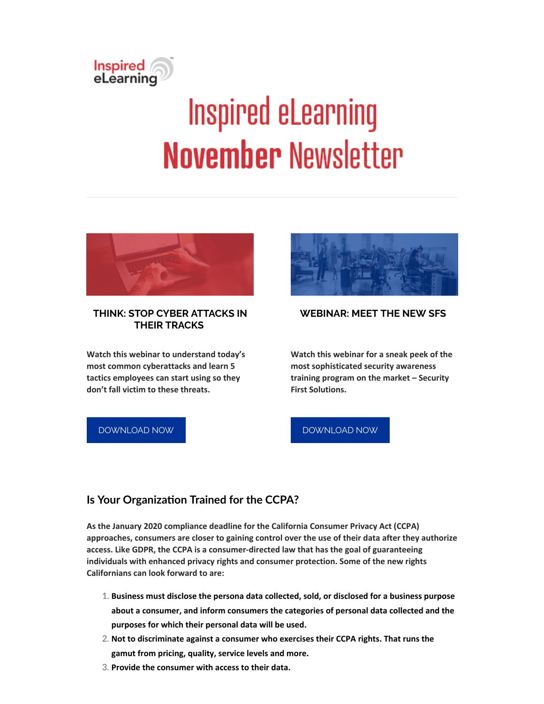

# **Inspired eLearning November Newsletter**



#### **THINK: STOP CYBER ATTACKS IN THEIR TRACKS**

**Watch this webinar to understand today's most common cyberattacks and learn 5 tactics employees can start using so they don't fall victim to these threats.**

[DOWNLOAD](https://inspiredelearning.com/resource/think-stop-cyber-attacks-in-their-tracks/?utm_source=Marketo) NOW



#### **WEBINAR: MEET THE NEW SFS**

**Watch this webinar for a sneak peek of the most sophisticated security awareness training program on the market – Security First Solutions.**

#### [DOWNLOAD](https://inspiredelearning.com/resource/meet-the-new-security-first-solutions/) NOW

## **Is Your Organization Trained for the CCPA?**

**As the January 2020 compliance deadline for the California Consumer Privacy Act (CCPA) approaches, consumers are closer to gaining control over the use of their data after they authorize access. Like GDPR, the CCPA is a consumer-directed law that has the goal of guaranteeing individuals with enhanced privacy rights and consumer protection. Some of the new rights Californians can look forward to are:**

- 1. **Business must disclose the persona data collected, sold, or disclosed for a business purpose about a consumer, and inform consumers the categories of personal data collected and the purposes for which their personal data will be used.**
- 2. **Not to discriminate against a consumer who exercises their CCPA rights. That runs the gamut from pricing, quality, service levels and more.**
- 3. **Provide the consumer with access to their data.**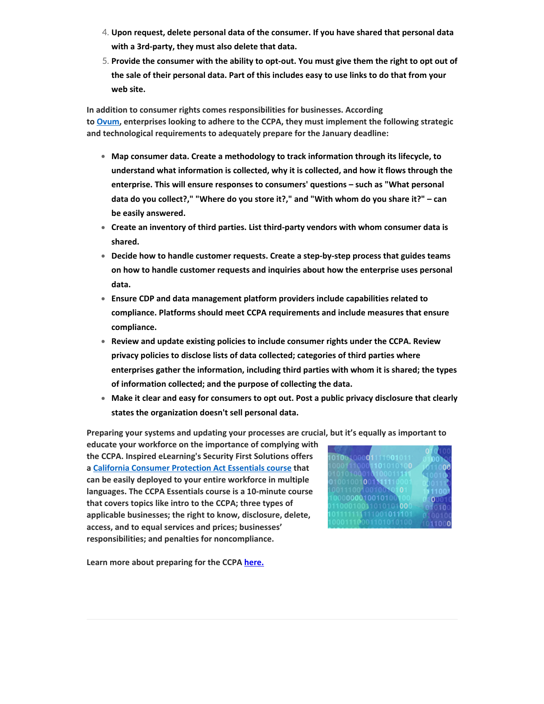- 4. **Upon request, delete personal data of the consumer. If you have shared that personal data with a 3rd-party, they must also delete that data.**
- 5. **Provide the consumer with the ability to opt-out. You must give them the right to opt out of** the sale of their personal data. Part of this includes easy to use links to do that from your **web site.**

**In addition to consumer rights comes responsibilities for businesses. According to [Ovum,](https://ovum.informa.com/resources/product-content/the-ccpa-will-repair-cracks-in-data-governance-capabilities-int002-000258) enterprises looking to adhere to the CCPA, they must implement the following strategic and technological requirements to adequately prepare for the January deadline:**

- **Map consumer data. Create a methodology to track information through its lifecycle, to understand what information is collected, why it is collected, and how it flows through the enterprise. This will ensure responses to consumers' questions – such as "What personal data do you collect?," "Where do you store it?," and "With whom do you share it?" – can be easily answered.**
- **Create an inventory of third parties. List third-party vendors with whom consumer data is shared.**
- **Decide how to handle customer requests. Create a step-by-step process that guides teams on how to handle customer requests and inquiries about how the enterprise uses personal data.**
- **Ensure CDP and data management platform providers include capabilities related to compliance. Platforms should meet CCPA requirements and include measures that ensure compliance.**
- **Review and update existing policies to include consumer rights under the CCPA. Review privacy policies to disclose lists of data collected; categories of third parties where enterprises gather the information, including third parties with whom it is shared; the types of information collected; and the purpose of collecting the data.**
- **Make it clear and easy for consumers to opt out. Post a public privacy disclosure that clearly states the organization doesn't sell personal data.**

**Preparing your systems and updating your processes are crucial, but it's equally as important to**

**educate your workforce on the importance of complying with the CCPA. Inspired eLearning's Security First Solutions offers a California Consumer [Protection](https://inspiredelearning.com/courses/california-consumer-protection-act-ccpa-essentials/) Act Essentials course that can be easily deployed to your entire workforce in multiple languages. The CCPA Essentials course is a 10-minute course that covers topics like intro to the CCPA; three types of applicable businesses; the right to know, disclosure, delete, access, and to equal services and prices; businesses' responsibilities; and penalties for noncompliance.**

| 10100100001111001011                                                 | 010100<br>0100 N.C       |
|----------------------------------------------------------------------|--------------------------|
| 10001110001101010100<br>01010100010100011111                         | 611000<br>(100100)       |
| 01001001001N1110001<br>1001110010010010101                           | <b>KID1110</b><br>111007 |
| 1000000010010100100<br>01100010011010101000<br>101111111111001011101 | 100010<br>010100         |
| 10001110001101010100                                                 | 0100100<br>1011000       |

**Learn more about preparing for the CCPA [here.](https://inspiredelearning.com/blog/is-your-organization-trained-for-the-ccpa/?utm_source=Marketo)**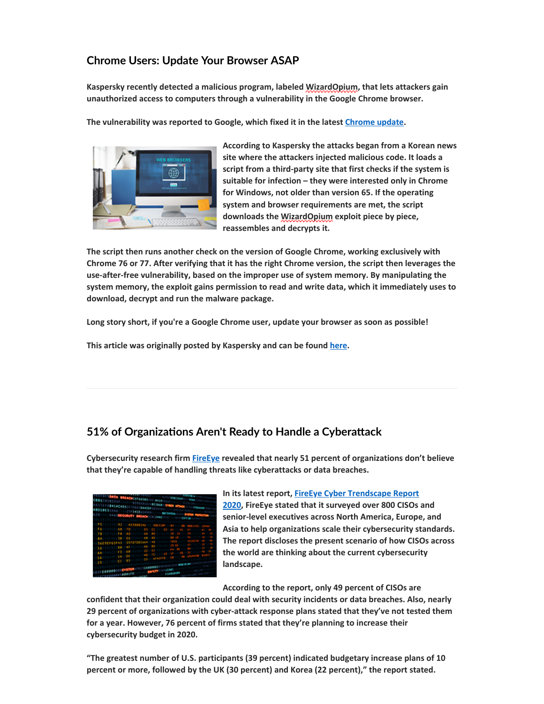# **Chrome Users: Update Your Browser ASAP**

**Kaspersky recently detected a malicious program, labeled WizardOpium, that lets attackers gain unauthorized access to computers through a vulnerability in the Google Chrome browser.**

**The vulnerability was reported to Google, which fixed it in the latest [Chrome](https://chromereleases.googleblog.com/2019/10/stable-channel-update-for-desktop_31.html) update.**



**According to Kaspersky the attacks began from a Korean news site where the attackers injected malicious code. It loads a script from a third-party site that first checks if the system is suitable for infection – they were interested only in Chrome for Windows, not older than version 65. If the operating system and browser requirements are met, the script downloads the WizardOpium exploit piece by piece, reassembles and decrypts it.**

**The script then runs another check on the version of Google Chrome, working exclusively with** Chrome 76 or 77. After verifying that it has the right Chrome version, the script then leverages the **use-after-free vulnerability, based on the improper use of system memory. By manipulating the system memory, the exploit gains permission to read and write data, which it immediately uses to download, decrypt and run the malware package.**

**Long story short, if you're a Google Chrome user, update your browser as soon as possible!**

**This article was originally posted by Kaspersky and can be found [here.](https://www.kaspersky.com/blog/google-chrome-zeroday-wizardopium/29126/)**

## **51%** of Organizations Aren't Ready to Handle a Cyberattack

**Cybersecurity research firm [FireEye](https://inspiredelearning.com/blog/security-awareness-at-fireeye/) revealed that nearly 51 percent of organizations don't believe that they're capable of handling threats like cyberattacks or data breaches.**

| 10474<br><b>ASCOSISSION</b><br>156F0841AC4D500700A20A410FIFTH | <b>BREACHCAFEASTA</b> | <b>STRADES (SCA)</b><br><b>STEED ATTEMPTED</b> | <b>ASSESSMENT</b><br><b>CEREA</b> |  |
|---------------------------------------------------------------|-----------------------|------------------------------------------------|-----------------------------------|--|
| <b>OLDES</b> III<br><b>SECURITY</b>                           | 112711436454999       | <b>BREACH IN ANDREW PROFILE</b>                |                                   |  |
|                                                               |                       |                                                |                                   |  |
|                                                               |                       |                                                |                                   |  |
|                                                               |                       |                                                |                                   |  |
|                                                               |                       |                                                |                                   |  |
|                                                               |                       |                                                |                                   |  |
|                                                               |                       |                                                |                                   |  |
|                                                               |                       |                                                |                                   |  |
|                                                               |                       |                                                |                                   |  |
|                                                               |                       |                                                |                                   |  |
|                                                               |                       |                                                |                                   |  |
|                                                               |                       |                                                |                                   |  |
|                                                               |                       |                                                |                                   |  |
|                                                               |                       |                                                |                                   |  |

**In its latest report, FireEye Cyber [Trendscape](https://www.fireeye.com/offers/rpt-cyber-trendscape.html) Report 2020, FireEye stated that it surveyed over 800 CISOs and senior-level executives across North America, Europe, and Asia to help organizations scale their cybersecurity standards. The report discloses the present scenario of how CISOs across the world are thinking about the current cybersecurity landscape.**

**According to the report, only 49 percent of CISOs are**

**confident that their organization could deal with security incidents or data breaches. Also, nearly 29 percent of organizations with cyber-attack response plans stated that they've not tested them for a year. However, 76 percent of firms stated that they're planning to increase their cybersecurity budget in 2020.**

**"The greatest number of U.S. participants (39 percent) indicated budgetary increase plans of 10 percent or more, followed by the UK (30 percent) and Korea (22 percent)," the report stated.**